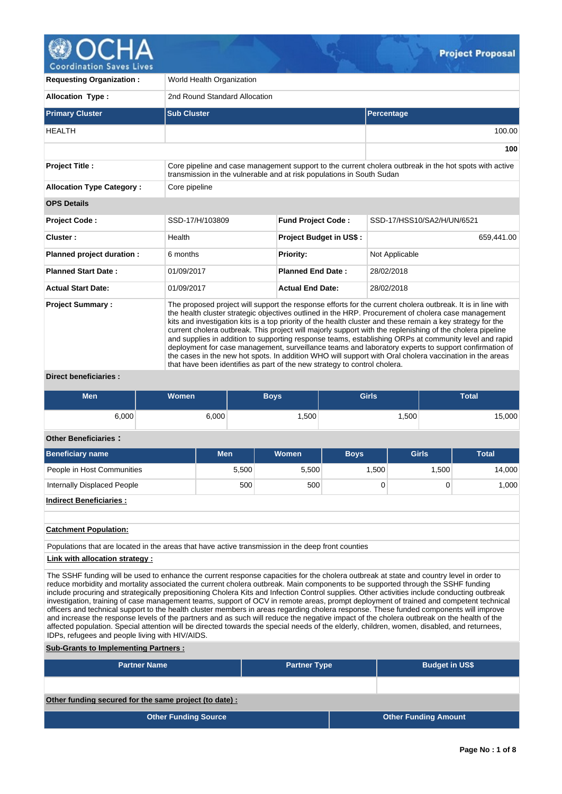

**Requesting Organization :** World Health Organization **Allocation Type :** 2nd Round Standard Allocation **Primary Cluster Sub Cluster Sub Cluster** Sub Cluster Sub Cluster Sub Cluster Sub Cluster Sub Cluster Sub Cluster HEALTH 100.00 **100 Project Title :** Core pipeline and case management support to the current cholera outbreak in the hot spots with active transmission in the vulnerable and at risk populations in South Sudan **Allocation Type Category : Core pipeline OPS Details Project Code :** SSD-17/H/103809 **Fund Project Code :** SSD-17/HSS10/SA2/H/UN/6521 **Cluster : Project Budget in US\$ : Project Budget in US\$ :** 659,441.00 **Planned project duration :** 6 months **Priority:** Not Applicable **Planned Start Date :** 01/09/2017 **Planned End Date :** 28/02/2018 **Actual Start Date:** 01/09/2017 **Actual End Date:** 28/02/2018 **Project Summary :** The proposed project will support the response efforts for the current cholera outbreak. It is in line with the health cluster strategic objectives outlined in the HRP. Procurement of cholera case management kits and investigation kits is a top priority of the health cluster and these remain a key strategy for the current cholera outbreak. This project will majorly support with the replenishing of the cholera pipeline and supplies in addition to supporting response teams, establishing ORPs at community level and rapid deployment for case management, surveillance teams and laboratory experts to support confirmation of the cases in the new hot spots. In addition WHO will support with Oral cholera vaccination in the areas that have been identifies as part of the new strategy to control cholera.

**Direct beneficiaries :**

| <b>Men</b> | <b>Women</b> | <b>Boys</b> | <b>Girls</b>      | <b>Total</b> |
|------------|--------------|-------------|-------------------|--------------|
| 6,000      | 6,000        | ,500        | .500 <sup>1</sup> | 15,000       |

# **Other Beneficiaries :**

| <b>Beneficiary name</b>     | <b>Men</b> | <b>Women</b> | <b>Boys</b> | <b>Girls</b> | Total  |
|-----------------------------|------------|--------------|-------------|--------------|--------|
| People in Host Communities  | 5,500      | 5,500        | 1,500       | 1.500        | 14,000 |
| Internally Displaced People | 500        | 500          |             |              | 1,000  |
| Indirect Beneficiaries:     |            |              |             |              |        |

**Catchment Population:**

Populations that are located in the areas that have active transmission in the deep front counties

**Link with allocation strategy :**

The SSHF funding will be used to enhance the current response capacities for the cholera outbreak at state and country level in order to reduce morbidity and mortality associated the current cholera outbreak. Main components to be supported through the SSHF funding include procuring and strategically prepositioning Cholera Kits and Infection Control supplies. Other activities include conducting outbreak investigation, training of case management teams, support of OCV in remote areas, prompt deployment of trained and competent technical officers and technical support to the health cluster members in areas regarding cholera response. These funded components will improve and increase the response levels of the partners and as such will reduce the negative impact of the cholera outbreak on the health of the affected population. Special attention will be directed towards the special needs of the elderly, children, women, disabled, and returnees, IDPs, refugees and people living with HIV/AIDS.

**Sub-Grants to Implementing Partners :**

| <b>Partner Name</b>                                   | <b>Partner Type</b> |  | <b>Budget in US\$</b>       |  |  |  |  |  |  |
|-------------------------------------------------------|---------------------|--|-----------------------------|--|--|--|--|--|--|
|                                                       |                     |  |                             |  |  |  |  |  |  |
| Other funding secured for the same project (to date): |                     |  |                             |  |  |  |  |  |  |
| <b>Other Funding Source</b>                           |                     |  | <b>Other Funding Amount</b> |  |  |  |  |  |  |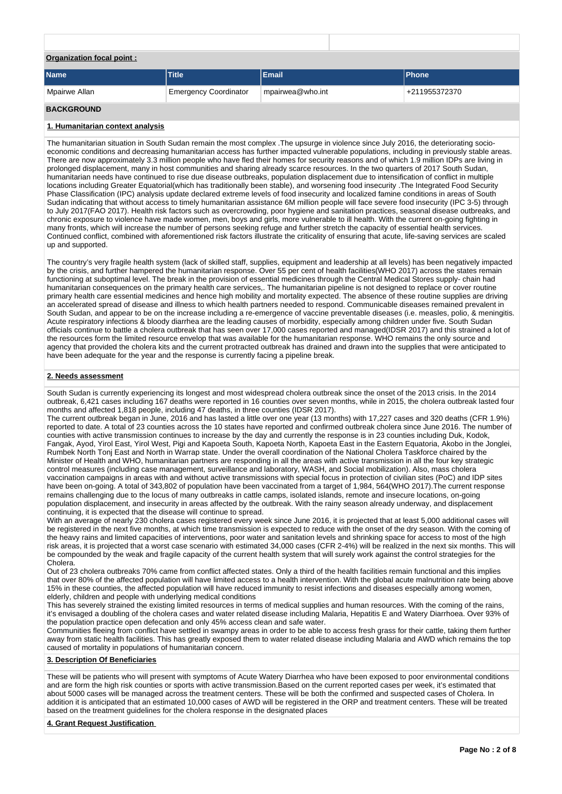| <b>Organization focal point:</b> |                              |                  |               |
|----------------------------------|------------------------------|------------------|---------------|
| <b>Name</b>                      | <b>Title</b>                 | Email            | <b>Phone</b>  |
| Mpairwe Allan                    | <b>Emergency Coordinator</b> | mpairwea@who.int | +211955372370 |

## **BACKGROUND**

#### **1. Humanitarian context analysis**

The humanitarian situation in South Sudan remain the most complex .The upsurge in violence since July 2016, the deteriorating socioeconomic conditions and decreasing humanitarian access has further impacted vulnerable populations, including in previously stable areas. There are now approximately 3.3 million people who have fled their homes for security reasons and of which 1.9 million IDPs are living in prolonged displacement, many in host communities and sharing already scarce resources. In the two quarters of 2017 South Sudan, humanitarian needs have continued to rise due disease outbreaks, population displacement due to intensification of conflict in multiple locations including Greater Equatorial(which has traditionally been stable), and worsening food insecurity .The Integrated Food Security Phase Classification (IPC) analysis update declared extreme levels of food insecurity and localized famine conditions in areas of South Sudan indicating that without access to timely humanitarian assistance 6M million people will face severe food insecurity (IPC 3-5) through to July 2017(FAO 2017). Health risk factors such as overcrowding, poor hygiene and sanitation practices, seasonal disease outbreaks, and chronic exposure to violence have made women, men, boys and girls, more vulnerable to ill health. With the current on-going fighting in many fronts, which will increase the number of persons seeking refuge and further stretch the capacity of essential health services. Continued conflict, combined with aforementioned risk factors illustrate the criticality of ensuring that acute, life-saving services are scaled up and supported.

The country's very fragile health system (lack of skilled staff, supplies, equipment and leadership at all levels) has been negatively impacted by the crisis, and further hampered the humanitarian response. Over 55 per cent of health facilities(WHO 2017) across the states remain functioning at suboptimal level. The break in the provision of essential medicines through the Central Medical Stores supply- chain had humanitarian consequences on the primary health care services,. The humanitarian pipeline is not designed to replace or cover routine primary health care essential medicines and hence high mobility and mortality expected. The absence of these routine supplies are driving an accelerated spread of disease and illness to which health partners needed to respond. Communicable diseases remained prevalent in South Sudan, and appear to be on the increase including a re-emergence of vaccine preventable diseases (i.e. measles, polio, & meningitis. Acute respiratory infections & bloody diarrhea are the leading causes of morbidity, especially among children under five. South Sudan officials continue to battle a cholera outbreak that has seen over 17,000 cases reported and managed(IDSR 2017) and this strained a lot of the resources form the limited resource envelop that was available for the humanitarian response. WHO remains the only source and agency that provided the cholera kits and the current protracted outbreak has drained and drawn into the supplies that were anticipated to have been adequate for the year and the response is currently facing a pipeline break.

### **2. Needs assessment**

South Sudan is currently experiencing its longest and most widespread cholera outbreak since the onset of the 2013 crisis. In the 2014 outbreak, 6,421 cases including 167 deaths were reported in 16 counties over seven months, while in 2015, the cholera outbreak lasted four months and affected 1,818 people, including 47 deaths, in three counties (IDSR 2017).

The current outbreak began in June, 2016 and has lasted a little over one year (13 months) with 17,227 cases and 320 deaths (CFR 1.9%) reported to date. A total of 23 counties across the 10 states have reported and confirmed outbreak cholera since June 2016. The number of counties with active transmission continues to increase by the day and currently the response is in 23 counties including Duk, Kodok, Fangak, Ayod, Yirol East, Yirol West, Pigi and Kapoeta South, Kapoeta North, Kapoeta East in the Eastern Equatoria, Akobo in the Jonglei, Rumbek North Tonj East and North in Warrap state. Under the overall coordination of the National Cholera Taskforce chaired by the Minister of Health and WHO, humanitarian partners are responding in all the areas with active transmission in all the four key strategic control measures (including case management, surveillance and laboratory, WASH, and Social mobilization). Also, mass cholera vaccination campaigns in areas with and without active transmissions with special focus in protection of civilian sites (PoC) and IDP sites have been on-going. A total of 343,802 of population have been vaccinated from a target of 1,984, 564(WHO 2017).The current response remains challenging due to the locus of many outbreaks in cattle camps, isolated islands, remote and insecure locations, on-going population displacement, and insecurity in areas affected by the outbreak. With the rainy season already underway, and displacement continuing, it is expected that the disease will continue to spread.

With an average of nearly 230 cholera cases registered every week since June 2016, it is projected that at least 5,000 additional cases will be registered in the next five months, at which time transmission is expected to reduce with the onset of the dry season. With the coming of the heavy rains and limited capacities of interventions, poor water and sanitation levels and shrinking space for access to most of the high risk areas, it is projected that a worst case scenario with estimated 34,000 cases (CFR 2-4%) will be realized in the next six months. This will be compounded by the weak and fragile capacity of the current health system that will surely work against the control strategies for the Cholera.

Out of 23 cholera outbreaks 70% came from conflict affected states. Only a third of the health facilities remain functional and this implies that over 80% of the affected population will have limited access to a health intervention. With the global acute malnutrition rate being above 15% in these counties, the affected population will have reduced immunity to resist infections and diseases especially among women, elderly, children and people with underlying medical conditions

This has severely strained the existing limited resources in terms of medical supplies and human resources. With the coming of the rains, it's envisaged a doubling of the cholera cases and water related disease including Malaria, Hepatitis E and Watery Diarrhoea. Over 93% of the population practice open defecation and only 45% access clean and safe water.

Communities fleeing from conflict have settled in swampy areas in order to be able to access fresh grass for their cattle, taking them further away from static health facilities. This has greatly exposed them to water related disease including Malaria and AWD which remains the top caused of mortality in populations of humanitarian concern.

# **3. Description Of Beneficiaries**

These will be patients who will present with symptoms of Acute Watery Diarrhea who have been exposed to poor environmental conditions and are form the high risk counties or sports with active transmission.Based on the current reported cases per week, it's estimated that about 5000 cases will be managed across the treatment centers. These will be both the confirmed and suspected cases of Cholera. In addition it is anticipated that an estimated 10,000 cases of AWD will be registered in the ORP and treatment centers. These will be treated based on the treatment guidelines for the cholera response in the designated places

**4. Grant Request Justification**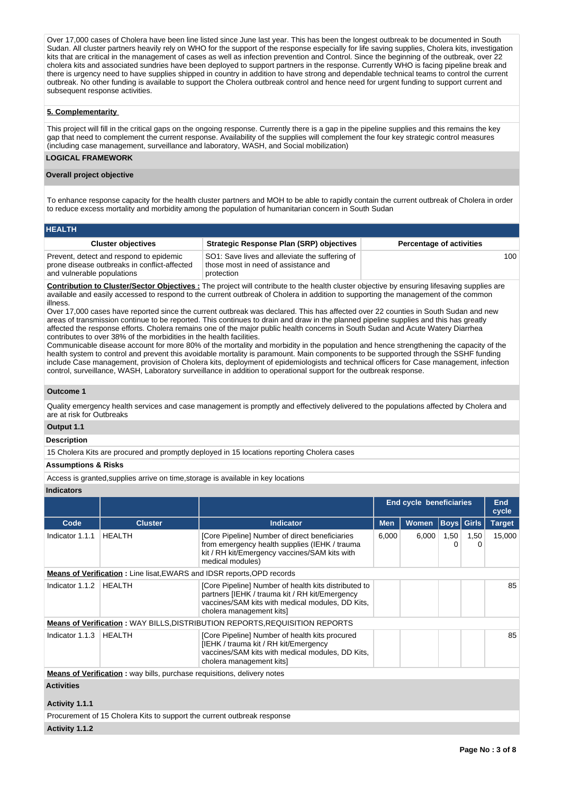Over 17,000 cases of Cholera have been line listed since June last year. This has been the longest outbreak to be documented in South Sudan. All cluster partners heavily rely on WHO for the support of the response especially for life saving supplies, Cholera kits, investigation kits that are critical in the management of cases as well as infection prevention and Control. Since the beginning of the outbreak, over 22 cholera kits and associated sundries have been deployed to support partners in the response. Currently WHO is facing pipeline break and there is urgency need to have supplies shipped in country in addition to have strong and dependable technical teams to control the current outbreak. No other funding is available to support the Cholera outbreak control and hence need for urgent funding to support current and subsequent response activities.

### **5. Complementarity**

This project will fill in the critical gaps on the ongoing response. Currently there is a gap in the pipeline supplies and this remains the key gap that need to complement the current response. Availability of the supplies will complement the four key strategic control measures (including case management, surveillance and laboratory, WASH, and Social mobilization)

#### **LOGICAL FRAMEWORK**

#### **Overall project objective**

To enhance response capacity for the health cluster partners and MOH to be able to rapidly contain the current outbreak of Cholera in order to reduce excess mortality and morbidity among the population of humanitarian concern in South Sudan

| <b>HEALTH</b>                                                                                                         |                                                                                                      |                                 |
|-----------------------------------------------------------------------------------------------------------------------|------------------------------------------------------------------------------------------------------|---------------------------------|
| <b>Cluster objectives</b>                                                                                             | <b>Strategic Response Plan (SRP) objectives</b>                                                      | <b>Percentage of activities</b> |
| Prevent, detect and respond to epidemic<br>prone disease outbreaks in conflict-affected<br>and vulnerable populations | SO1: Save lives and alleviate the suffering of<br>those most in need of assistance and<br>protection | 100                             |

**Contribution to Cluster/Sector Objectives :** The project will contribute to the health cluster objective by ensuring lifesaving supplies are available and easily accessed to respond to the current outbreak of Cholera in addition to supporting the management of the common illness.

Over 17,000 cases have reported since the current outbreak was declared. This has affected over 22 counties in South Sudan and new areas of transmission continue to be reported. This continues to drain and draw in the planned pipeline supplies and this has greatly affected the response efforts. Cholera remains one of the major public health concerns in South Sudan and Acute Watery Diarrhea contributes to over 38% of the morbidities in the health facilities.

Communicable disease account for more 80% of the mortality and morbidity in the population and hence strengthening the capacity of the health system to control and prevent this avoidable mortality is paramount. Main components to be supported through the SSHF funding include Case management, provision of Cholera kits, deployment of epidemiologists and technical officers for Case management, infection control, surveillance, WASH, Laboratory surveillance in addition to operational support for the outbreak response.

#### **Outcome 1**

Quality emergency health services and case management is promptly and effectively delivered to the populations affected by Cholera and are at risk for Outbreaks

### **Output 1.1**

**Description**

15 Cholera Kits are procured and promptly deployed in 15 locations reporting Cholera cases

#### **Assumptions & Risks**

Access is granted,supplies arrive on time,storage is available in key locations

### **Indicators**

|                                     |                                                                                |                                                                                                                                                                                        | <b>End cycle beneficiaries</b> |              |           |                   | <b>End</b><br>cycle |
|-------------------------------------|--------------------------------------------------------------------------------|----------------------------------------------------------------------------------------------------------------------------------------------------------------------------------------|--------------------------------|--------------|-----------|-------------------|---------------------|
| Code                                | <b>Cluster</b>                                                                 | <b>Indicator</b>                                                                                                                                                                       | <b>Men</b>                     | <b>Women</b> |           | <b>Boys Girls</b> | <b>Target</b>       |
| Indicator 1.1.1                     | <b>HEALTH</b>                                                                  | [Core Pipeline] Number of direct beneficiaries<br>from emergency health supplies (IEHK / trauma<br>kit / RH kit/Emergency vaccines/SAM kits with<br>medical modules)                   | 6,000                          | 6,000        | 1,50<br>O | 1,50<br>0         | 15,000              |
|                                     | <b>Means of Verification:</b> Line lisat, EWARS and IDSR reports, OPD records  |                                                                                                                                                                                        |                                |              |           |                   |                     |
| Indicator 1.1.2                     | <b>HEALTH</b>                                                                  | [Core Pipeline] Number of health kits distributed to<br>partners [IEHK / trauma kit / RH kit/Emergency<br>vaccines/SAM kits with medical modules, DD Kits,<br>cholera management kits] |                                |              |           |                   | 85                  |
|                                     |                                                                                | <b>Means of Verification: WAY BILLS, DISTRIBUTION REPORTS, REQUISITION REPORTS</b>                                                                                                     |                                |              |           |                   |                     |
| Indicator 1.1.3                     | <b>HEALTH</b>                                                                  | [Core Pipeline] Number of health kits procured<br>[IEHK / trauma kit / RH kit/Emergency<br>vaccines/SAM kits with medical modules, DD Kits,<br>cholera management kits]                |                                |              |           |                   | 85                  |
|                                     | <b>Means of Verification:</b> way bills, purchase requisitions, delivery notes |                                                                                                                                                                                        |                                |              |           |                   |                     |
| <b>Activities</b><br>Activity 1.1.1 |                                                                                |                                                                                                                                                                                        |                                |              |           |                   |                     |

Procurement of 15 Cholera Kits to support the current outbreak response

#### **Activity 1.1.2**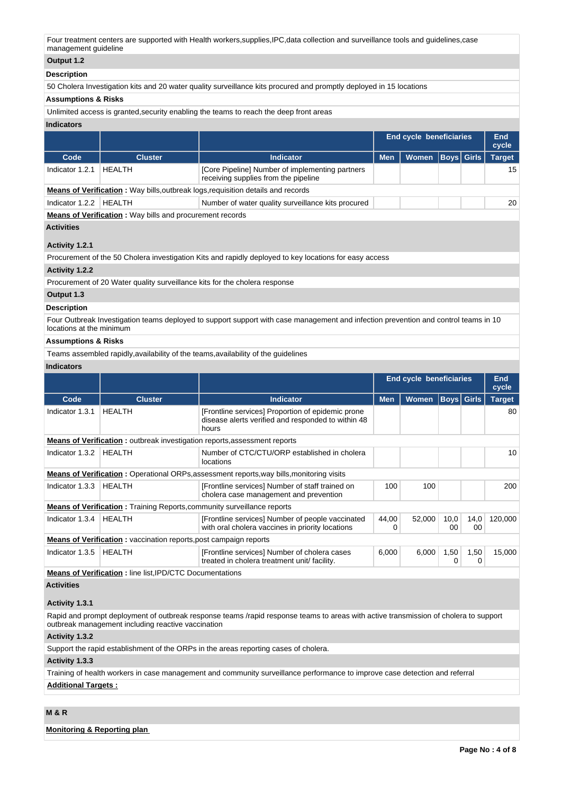Four treatment centers are supported with Health workers,supplies,IPC,data collection and surveillance tools and guidelines,case management guideline

# **Output 1.2**

## **Description**

50 Cholera Investigation kits and 20 water quality surveillance kits procured and promptly deployed in 15 locations

## **Assumptions & Risks**

Unlimited access is granted,security enabling the teams to reach the deep front areas

#### **Indicators**

|                                                                                         |                |                                                                                         | End cycle beneficiaries |                      |  |  | End<br>cycle  |  |  |  |  |
|-----------------------------------------------------------------------------------------|----------------|-----------------------------------------------------------------------------------------|-------------------------|----------------------|--|--|---------------|--|--|--|--|
| Code                                                                                    | <b>Cluster</b> | <b>Indicator</b>                                                                        | <b>Men</b>              | Women   Boys   Girls |  |  | <b>Target</b> |  |  |  |  |
| Indicator 1.2.1                                                                         | HFAI TH        | [Core Pipeline] Number of implementing partners<br>receiving supplies from the pipeline |                         |                      |  |  | 15            |  |  |  |  |
| <b>Means of Verification:</b> Way bills, outbreak logs, requisition details and records |                |                                                                                         |                         |                      |  |  |               |  |  |  |  |
| Indicator 1.2.2                                                                         | HFAI TH        | Number of water quality surveillance kits procured                                      |                         |                      |  |  | 20            |  |  |  |  |

**Means of Verification :** Way bills and procurement records

#### **Activities**

## **Activity 1.2.1**

Procurement of the 50 Cholera investigation Kits and rapidly deployed to key locations for easy access

### **Activity 1.2.2**

Procurement of 20 Water quality surveillance kits for the cholera response

## **Output 1.3**

## **Description**

Four Outbreak Investigation teams deployed to support support with case management and infection prevention and control teams in 10 locations at the minimum

### **Assumptions & Risks**

Teams assembled rapidly,availability of the teams,availability of the guidelines

# **Indicators**

|                 |                                                                                  |                                                                                                                  | <b>End cycle beneficiaries</b> |              |            |                   | <b>End</b><br>cycle |  |
|-----------------|----------------------------------------------------------------------------------|------------------------------------------------------------------------------------------------------------------|--------------------------------|--------------|------------|-------------------|---------------------|--|
| Code            | <b>Cluster</b>                                                                   | <b>Indicator</b>                                                                                                 | <b>Men</b>                     | <b>Women</b> |            | <b>Boys</b> Girls | <b>Target</b>       |  |
| Indicator 1.3.1 | <b>HEALTH</b>                                                                    | [Frontline services] Proportion of epidemic prone<br>disease alerts verified and responded to within 48<br>hours |                                |              |            |                   | 80                  |  |
|                 | <b>Means of Verification:</b> outbreak investigation reports, assessment reports |                                                                                                                  |                                |              |            |                   |                     |  |
| Indicator 1.3.2 | <b>HEALTH</b>                                                                    | Number of CTC/CTU/ORP established in cholera<br><b>locations</b>                                                 |                                |              |            |                   | 10                  |  |
|                 |                                                                                  | <b>Means of Verification:</b> Operational ORPs, assessment reports, way bills, monitoring visits                 |                                |              |            |                   |                     |  |
| Indicator 1.3.3 | <b>HEALTH</b>                                                                    | [Frontline services] Number of staff trained on<br>cholera case management and prevention                        | 100                            | 100          |            |                   | 200                 |  |
|                 | <b>Means of Verification:</b> Training Reports, community surveillance reports   |                                                                                                                  |                                |              |            |                   |                     |  |
| Indicator 1.3.4 | <b>HEALTH</b>                                                                    | [Frontline services] Number of people vaccinated<br>with oral cholera vaccines in priority locations             | 44,00<br>0                     | 52,000       | 10,0<br>00 | 14,0<br>00        | 120,000             |  |
|                 | <b>Means of Verification:</b> vaccination reports, post campaign reports         |                                                                                                                  |                                |              |            |                   |                     |  |
| Indicator 1.3.5 | <b>HEALTH</b>                                                                    | [Frontline services] Number of cholera cases<br>treated in cholera treatment unit/ facility.                     | 6,000                          | 6,000        | 1,50       | 1,50<br>0         | 15,000              |  |

**Means of Verification :** line list,IPD/CTC Documentations

# **Activities**

# **Activity 1.3.1**

Rapid and prompt deployment of outbreak response teams /rapid response teams to areas with active transmission of cholera to support outbreak management including reactive vaccination

## **Activity 1.3.2**

Support the rapid establishment of the ORPs in the areas reporting cases of cholera.

#### **Activity 1.3.3**

Training of health workers in case management and community surveillance performance to improve case detection and referral **Additional Targets :**

# **M & R**

**Monitoring & Reporting plan**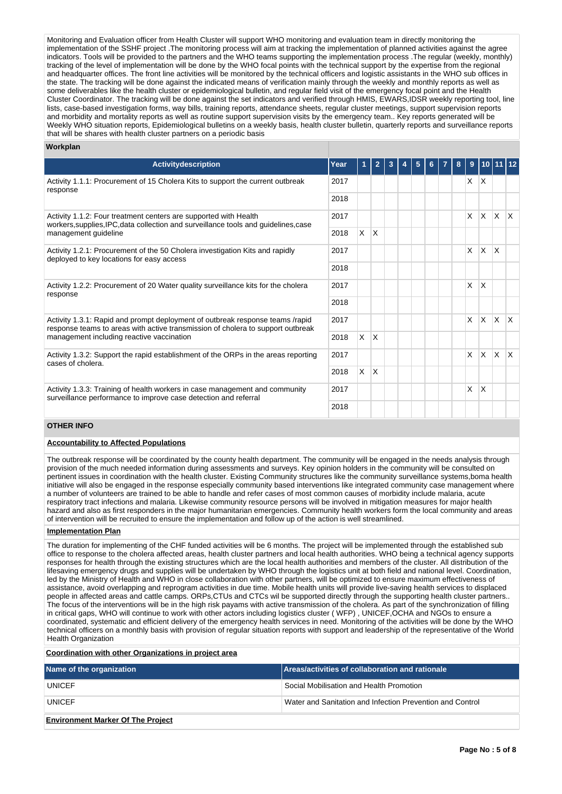Monitoring and Evaluation officer from Health Cluster will support WHO monitoring and evaluation team in directly monitoring the implementation of the SSHF project .The monitoring process will aim at tracking the implementation of planned activities against the agree indicators. Tools will be provided to the partners and the WHO teams supporting the implementation process .The regular (weekly, monthly) tracking of the level of implementation will be done by the WHO focal points with the technical support by the expertise from the regional and headquarter offices. The front line activities will be monitored by the technical officers and logistic assistants in the WHO sub offices in the state. The tracking will be done against the indicated means of verification mainly through the weekly and monthly reports as well as some deliverables like the health cluster or epidemiological bulletin, and regular field visit of the emergency focal point and the Health Cluster Coordinator. The tracking will be done against the set indicators and verified through HMIS, EWARS,IDSR weekly reporting tool, line lists, case-based investigation forms, way bills, training reports, attendance sheets, regular cluster meetings, support supervision reports and morbidity and mortality reports as well as routine support supervision visits by the emergency team.. Key reports generated will be Weekly WHO situation reports, Epidemiological bulletins on a weekly basis, health cluster bulletin, quarterly reports and surveillance reports that will be shares with health cluster partners on a periodic basis

| Workplan |  |
|----------|--|
|----------|--|

| <b>Activitydescription</b>                                                                                                                                       | Year |          | 2            | 3 | 5 |  | 8 | 9            |                         |              |              |
|------------------------------------------------------------------------------------------------------------------------------------------------------------------|------|----------|--------------|---|---|--|---|--------------|-------------------------|--------------|--------------|
| Activity 1.1.1: Procurement of 15 Cholera Kits to support the current outbreak<br>response                                                                       | 2017 |          |              |   |   |  |   | X            | $\mathsf{I} \mathsf{X}$ |              |              |
|                                                                                                                                                                  | 2018 |          |              |   |   |  |   |              |                         |              |              |
| Activity 1.1.2: Four treatment centers are supported with Health<br>workers, supplies, IPC, data collection and surveillance tools and guidelines, case          | 2017 |          |              |   |   |  |   | $\mathsf{x}$ | $\mathsf{X}$            | ΙX.          | $\mathsf{X}$ |
| management guideline                                                                                                                                             | 2018 | X        | ΙX.          |   |   |  |   |              |                         |              |              |
| Activity 1.2.1: Procurement of the 50 Cholera investigation Kits and rapidly<br>deployed to key locations for easy access                                        | 2017 |          |              |   |   |  |   | $\times$     | $\mathsf{X}$            | ΙX.          |              |
|                                                                                                                                                                  | 2018 |          |              |   |   |  |   |              |                         |              |              |
| Activity 1.2.2: Procurement of 20 Water quality surveillance kits for the cholera<br>response                                                                    | 2017 |          |              |   |   |  |   | $\times$     | $\mathsf{x}$            |              |              |
|                                                                                                                                                                  | 2018 |          |              |   |   |  |   |              |                         |              |              |
| Activity 1.3.1: Rapid and prompt deployment of outbreak response teams /rapid<br>response teams to areas with active transmission of cholera to support outbreak | 2017 |          |              |   |   |  |   | $\mathsf{x}$ | X.                      | $\mathsf{X}$ | $\mathsf{X}$ |
| management including reactive vaccination                                                                                                                        | 2018 | X        | ΙX.          |   |   |  |   |              |                         |              |              |
| Activity 1.3.2: Support the rapid establishment of the ORPs in the areas reporting<br>cases of cholera.                                                          | 2017 |          |              |   |   |  |   | $\times$     | $\mathsf{x}$            | ΙX.          | $\mathsf{X}$ |
|                                                                                                                                                                  | 2018 | $\times$ | $\mathsf{X}$ |   |   |  |   |              |                         |              |              |
| Activity 1.3.3: Training of health workers in case management and community<br>surveillance performance to improve case detection and referral                   | 2017 |          |              |   |   |  |   | X            | $\times$                |              |              |
|                                                                                                                                                                  | 2018 |          |              |   |   |  |   |              |                         |              |              |

### **OTHER INFO**

## **Accountability to Affected Populations**

The outbreak response will be coordinated by the county health department. The community will be engaged in the needs analysis through provision of the much needed information during assessments and surveys. Key opinion holders in the community will be consulted on pertinent issues in coordination with the health cluster. Existing Community structures like the community surveillance systems,boma health initiative will also be engaged in the response especially community based interventions like integrated community case management where a number of volunteers are trained to be able to handle and refer cases of most common causes of morbidity include malaria, acute respiratory tract infections and malaria. Likewise community resource persons will be involved in mitigation measures for major health hazard and also as first responders in the major humanitarian emergencies. Community health workers form the local community and areas of intervention will be recruited to ensure the implementation and follow up of the action is well streamlined.

#### **Implementation Plan**

The duration for implementing of the CHF funded activities will be 6 months. The project will be implemented through the established sub office to response to the cholera affected areas, health cluster partners and local health authorities. WHO being a technical agency supports responses for health through the existing structures which are the local health authorities and members of the cluster. All distribution of the lifesaving emergency drugs and supplies will be undertaken by WHO through the logistics unit at both field and national level. Coordination, led by the Ministry of Health and WHO in close collaboration with other partners, will be optimized to ensure maximum effectiveness of assistance, avoid overlapping and reprogram activities in due time. Mobile health units will provide live-saving health services to displaced people in affected areas and cattle camps. ORPs,CTUs and CTCs wil be supported directly through the supporting health cluster partners.. The focus of the interventions will be in the high risk payams with active transmission of the cholera. As part of the synchronization of filling in critical gaps, WHO will continue to work with other actors including logistics cluster ( WFP) , UNICEF,OCHA and NGOs to ensure a coordinated, systematic and efficient delivery of the emergency health services in need. Monitoring of the activities will be done by the WHO technical officers on a monthly basis with provision of regular situation reports with support and leadership of the representative of the World Health Organization

#### **Coordination with other Organizations in project area**

| Name of the organization                 | Areas/activities of collaboration and rationale           |
|------------------------------------------|-----------------------------------------------------------|
| <b>UNICEF</b>                            | Social Mobilisation and Health Promotion                  |
| <b>UNICEF</b>                            | Water and Sanitation and Infection Prevention and Control |
| <b>Environment Marker Of The Project</b> |                                                           |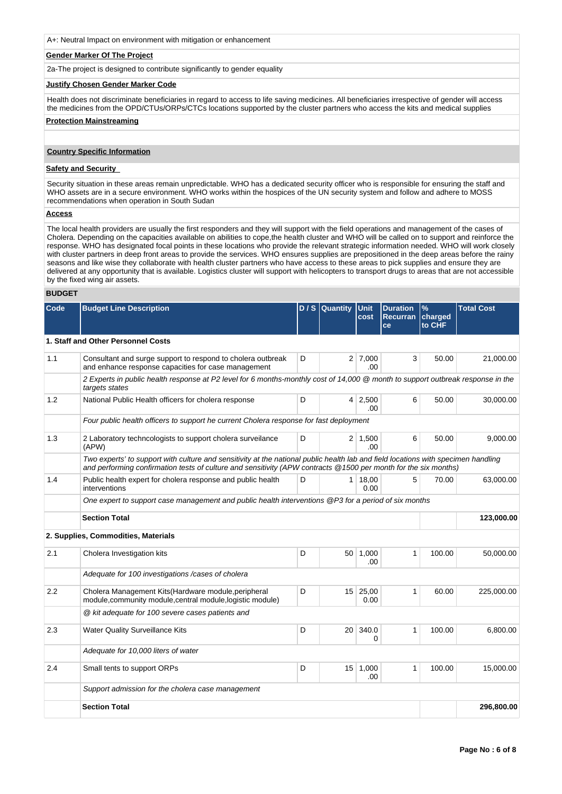A+: Neutral Impact on environment with mitigation or enhancement

#### **Gender Marker Of The Project**

2a-The project is designed to contribute significantly to gender equality

#### **Justify Chosen Gender Marker Code**

Health does not discriminate beneficiaries in regard to access to life saving medicines. All beneficiaries irrespective of gender will access the medicines from the OPD/CTUs/ORPs/CTCs locations supported by the cluster partners who access the kits and medical supplies

#### **Protection Mainstreaming**

#### **Country Specific Information**

#### **Safety and Security**

Security situation in these areas remain unpredictable. WHO has a dedicated security officer who is responsible for ensuring the staff and WHO assets are in a secure environment. WHO works within the hospices of the UN security system and follow and adhere to MOSS recommendations when operation in South Sudan

#### **Access**

The local health providers are usually the first responders and they will support with the field operations and management of the cases of Cholera. Depending on the capacities available on abilities to cope,the health cluster and WHO will be called on to support and reinforce the response. WHO has designated focal points in these locations who provide the relevant strategic information needed. WHO will work closely with cluster partners in deep front areas to provide the services. WHO ensures supplies are prepositioned in the deep areas before the rainy seasons and like wise they collaborate with health cluster partners who have access to these areas to pick supplies and ensure they are delivered at any opportunity that is available. Logistics cluster will support with helicopters to transport drugs to areas that are not accessible by the fixed wing air assets.

## **BUDGET**

| Code | <b>Budget Line Description</b>                                                                                                                                                                                                                       |   | $D / S$ Quantity | Unit<br>cost           | <b>Duration</b><br><b>Recurran</b><br>ce | $\frac{9}{6}$<br>charged<br>to CHF | <b>Total Cost</b> |
|------|------------------------------------------------------------------------------------------------------------------------------------------------------------------------------------------------------------------------------------------------------|---|------------------|------------------------|------------------------------------------|------------------------------------|-------------------|
|      | 1. Staff and Other Personnel Costs                                                                                                                                                                                                                   |   |                  |                        |                                          |                                    |                   |
| 1.1  | Consultant and surge support to respond to cholera outbreak<br>and enhance response capacities for case management                                                                                                                                   | D |                  | $2 \mid 7,000$<br>.00. | 3                                        | 50.00                              | 21,000.00         |
|      | 2 Experts in public health response at P2 level for 6 months-monthly cost of 14,000 @ month to support outbreak response in the<br>targets states                                                                                                    |   |                  |                        |                                          |                                    |                   |
| 1.2  | National Public Health officers for cholera response                                                                                                                                                                                                 | D |                  | $4 \mid 2,500$<br>.00  | 6                                        | 50.00                              | 30,000.00         |
|      | Four public health officers to support he current Cholera response for fast deployment                                                                                                                                                               |   |                  |                        |                                          |                                    |                   |
| 1.3  | 2 Laboratory techncologists to support cholera surveilance<br>(APW)                                                                                                                                                                                  | D |                  | $2 \mid 1,500$<br>.00  | 6                                        | 50.00                              | 9,000.00          |
|      | Two experts' to support with culture and sensitivity at the national public health lab and field locations with specimen handling<br>and performing confirmation tests of culture and sensitivity (APW contracts @1500 per month for the six months) |   |                  |                        |                                          |                                    |                   |
| 1.4  | Public health expert for cholera response and public health<br>interventions                                                                                                                                                                         | D |                  | $1 \mid 18,00$<br>0.00 | 5                                        | 70.00                              | 63,000.00         |
|      | One expert to support case management and public health interventions @P3 for a period of six months                                                                                                                                                 |   |                  |                        |                                          |                                    |                   |
|      | <b>Section Total</b>                                                                                                                                                                                                                                 |   |                  |                        |                                          |                                    | 123,000.00        |
|      | 2. Supplies, Commodities, Materials                                                                                                                                                                                                                  |   |                  |                        |                                          |                                    |                   |
| 2.1  | Cholera Investigation kits                                                                                                                                                                                                                           | D |                  | 50 1,000<br>.00        | 1                                        | 100.00                             | 50,000.00         |
|      | Adequate for 100 investigations /cases of cholera                                                                                                                                                                                                    |   |                  |                        |                                          |                                    |                   |
| 2.2  | Cholera Management Kits (Hardware module, peripheral<br>module, community module, central module, logistic module)                                                                                                                                   | D |                  | 15 25,00<br>0.00       | 1                                        | 60.00                              | 225,000.00        |
|      | @ kit adequate for 100 severe cases patients and                                                                                                                                                                                                     |   |                  |                        |                                          |                                    |                   |
| 2.3  | <b>Water Quality Surveillance Kits</b>                                                                                                                                                                                                               | D | $20-$            | 340.0<br>0             | 1                                        | 100.00                             | 6,800.00          |
|      | Adequate for 10,000 liters of water                                                                                                                                                                                                                  |   |                  |                        |                                          |                                    |                   |
| 2.4  | Small tents to support ORPs                                                                                                                                                                                                                          | D |                  | 15 1,000<br>.00        | 1                                        | 100.00                             | 15,000.00         |
|      | Support admission for the cholera case management                                                                                                                                                                                                    |   |                  |                        |                                          |                                    |                   |
|      | <b>Section Total</b>                                                                                                                                                                                                                                 |   |                  |                        |                                          |                                    | 296,800.00        |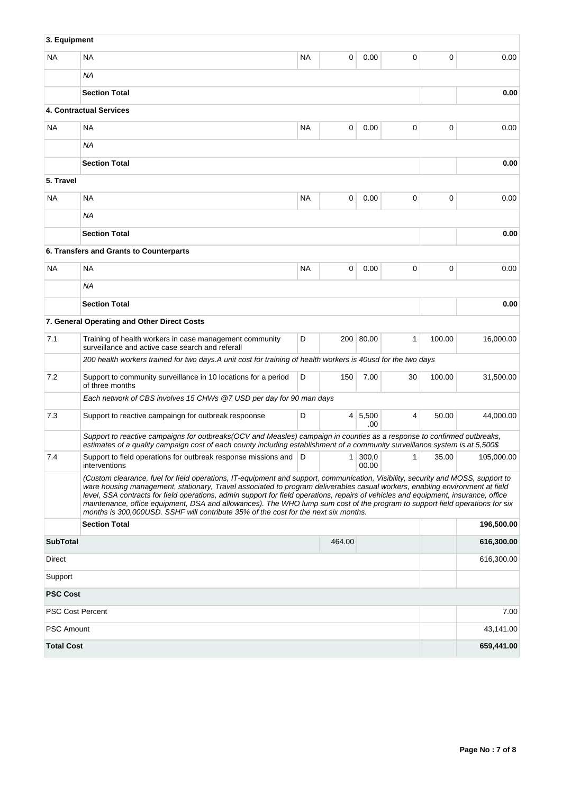| 3. Equipment      |                                                                                                                                                                                                                                                                                                                                                                                                                                                                                                                                                                                                                                |           |        |                  |                |        |            |
|-------------------|--------------------------------------------------------------------------------------------------------------------------------------------------------------------------------------------------------------------------------------------------------------------------------------------------------------------------------------------------------------------------------------------------------------------------------------------------------------------------------------------------------------------------------------------------------------------------------------------------------------------------------|-----------|--------|------------------|----------------|--------|------------|
| NA.               | <b>NA</b>                                                                                                                                                                                                                                                                                                                                                                                                                                                                                                                                                                                                                      | <b>NA</b> | 0      | 0.00             | 0              | 0      | 0.00       |
|                   | ΝA                                                                                                                                                                                                                                                                                                                                                                                                                                                                                                                                                                                                                             |           |        |                  |                |        |            |
|                   | <b>Section Total</b>                                                                                                                                                                                                                                                                                                                                                                                                                                                                                                                                                                                                           |           |        |                  |                |        | 0.00       |
|                   | 4. Contractual Services                                                                                                                                                                                                                                                                                                                                                                                                                                                                                                                                                                                                        |           |        |                  |                |        |            |
| NA.               | <b>NA</b>                                                                                                                                                                                                                                                                                                                                                                                                                                                                                                                                                                                                                      | <b>NA</b> | 0      | 0.00             | 0              | 0      | 0.00       |
|                   | <b>NA</b>                                                                                                                                                                                                                                                                                                                                                                                                                                                                                                                                                                                                                      |           |        |                  |                |        |            |
|                   | <b>Section Total</b>                                                                                                                                                                                                                                                                                                                                                                                                                                                                                                                                                                                                           |           |        |                  |                |        | 0.00       |
| 5. Travel         |                                                                                                                                                                                                                                                                                                                                                                                                                                                                                                                                                                                                                                |           |        |                  |                |        |            |
| NA.               | <b>NA</b>                                                                                                                                                                                                                                                                                                                                                                                                                                                                                                                                                                                                                      | <b>NA</b> | 0      | 0.00             | 0              | 0      | 0.00       |
|                   | ΝA                                                                                                                                                                                                                                                                                                                                                                                                                                                                                                                                                                                                                             |           |        |                  |                |        |            |
|                   | <b>Section Total</b>                                                                                                                                                                                                                                                                                                                                                                                                                                                                                                                                                                                                           |           |        |                  |                |        | 0.00       |
|                   | 6. Transfers and Grants to Counterparts                                                                                                                                                                                                                                                                                                                                                                                                                                                                                                                                                                                        |           |        |                  |                |        |            |
| NA                | <b>NA</b>                                                                                                                                                                                                                                                                                                                                                                                                                                                                                                                                                                                                                      | <b>NA</b> | 0      | 0.00             | 0              | 0      | 0.00       |
|                   | <b>NA</b>                                                                                                                                                                                                                                                                                                                                                                                                                                                                                                                                                                                                                      |           |        |                  |                |        |            |
|                   | <b>Section Total</b>                                                                                                                                                                                                                                                                                                                                                                                                                                                                                                                                                                                                           |           |        |                  |                |        | 0.00       |
|                   | 7. General Operating and Other Direct Costs                                                                                                                                                                                                                                                                                                                                                                                                                                                                                                                                                                                    |           |        |                  |                |        |            |
| 7.1               | Training of health workers in case management community<br>surveillance and active case search and referall                                                                                                                                                                                                                                                                                                                                                                                                                                                                                                                    | D         |        | 200 80.00        | $\mathbf{1}$   | 100.00 | 16,000.00  |
|                   | 200 health workers trained for two days.A unit cost for training of health workers is 40usd for the two days                                                                                                                                                                                                                                                                                                                                                                                                                                                                                                                   |           |        |                  |                |        |            |
| 7.2               | Support to community surveillance in 10 locations for a period<br>of three months                                                                                                                                                                                                                                                                                                                                                                                                                                                                                                                                              | D         | 150    | 7.00             | 30             | 100.00 | 31,500.00  |
|                   | Each network of CBS involves 15 CHWs @7 USD per day for 90 man days                                                                                                                                                                                                                                                                                                                                                                                                                                                                                                                                                            |           |        |                  |                |        |            |
| 7.3               | Support to reactive campaingn for outbreak respoonse                                                                                                                                                                                                                                                                                                                                                                                                                                                                                                                                                                           | D         |        | 4 5,500<br>.00.  | 4              | 50.00  | 44.000.00  |
|                   | Support to reactive campaigns for outbreaks(OCV and Measles) campaign in counties as a response to confirmed outbreaks,<br>estimates of a quality campaign cost of each county including establishment of a community surveillance system is at 5,500\$                                                                                                                                                                                                                                                                                                                                                                        |           |        |                  |                |        |            |
| 7.4               | Support to field operations for outbreak response missions and D<br>interventions                                                                                                                                                                                                                                                                                                                                                                                                                                                                                                                                              |           |        | 1 300,0<br>00.00 | 1 <sup>1</sup> | 35.00  | 105,000.00 |
|                   | (Custom clearance, fuel for field operations, IT-equipment and support, communication, Visibility, security and MOSS, support to<br>ware housing management, stationary, Travel associated to program deliverables casual workers, enabling environment at field<br>level, SSA contracts for field operations, admin support for field operations, repairs of vehicles and equipment, insurance, office<br>maintenance, office equipment, DSA and allowances). The WHO lump sum cost of the program to support field operations for six<br>months is 300,000USD. SSHF will contribute 35% of the cost for the next six months. |           |        |                  |                |        |            |
|                   | <b>Section Total</b>                                                                                                                                                                                                                                                                                                                                                                                                                                                                                                                                                                                                           |           |        |                  |                |        | 196,500.00 |
| <b>SubTotal</b>   |                                                                                                                                                                                                                                                                                                                                                                                                                                                                                                                                                                                                                                |           | 464.00 |                  |                |        | 616,300.00 |
| Direct            |                                                                                                                                                                                                                                                                                                                                                                                                                                                                                                                                                                                                                                |           |        |                  |                |        | 616,300.00 |
| Support           |                                                                                                                                                                                                                                                                                                                                                                                                                                                                                                                                                                                                                                |           |        |                  |                |        |            |
| <b>PSC Cost</b>   |                                                                                                                                                                                                                                                                                                                                                                                                                                                                                                                                                                                                                                |           |        |                  |                |        |            |
|                   | <b>PSC Cost Percent</b>                                                                                                                                                                                                                                                                                                                                                                                                                                                                                                                                                                                                        |           |        |                  |                |        | 7.00       |
| <b>PSC Amount</b> |                                                                                                                                                                                                                                                                                                                                                                                                                                                                                                                                                                                                                                |           |        |                  |                |        | 43,141.00  |
| <b>Total Cost</b> |                                                                                                                                                                                                                                                                                                                                                                                                                                                                                                                                                                                                                                |           |        |                  |                |        | 659,441.00 |